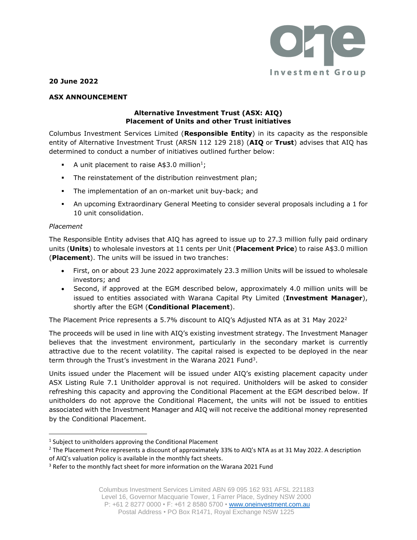

**20 June 2022**

# **ASX ANNOUNCEMENT**

### **Alternative Investment Trust (ASX: AIQ) Placement of Units and other Trust initiatives**

Columbus Investment Services Limited (**Responsible Entity**) in its capacity as the responsible entity of Alternative Investment Trust (ARSN 112 129 218) (**AIQ** or **Trust**) advises that AIQ has determined to conduct a number of initiatives outlined further below:

- **•** A unit placement to raise  $\text{A}\$3.0 \text{ million}^1;$
- **•** The reinstatement of the distribution reinvestment plan;
- **·** The implementation of an on-market unit buy-back; and
- An upcoming Extraordinary General Meeting to consider several proposals including a 1 for 10 unit consolidation.

### *Placement*

The Responsible Entity advises that AIQ has agreed to issue up to 27.3 million fully paid ordinary units (**Units**) to wholesale investors at 11 cents per Unit (**Placement Price**) to raise A\$3.0 million (**Placement**). The units will be issued in two tranches:

- First, on or about 23 June 2022 approximately 23.3 million Units will be issued to wholesale investors; and
- Second, if approved at the EGM described below, approximately 4.0 million units will be issued to entities associated with Warana Capital Pty Limited (**Investment Manager**), shortly after the EGM (**Conditional Placement**).

The Placement Price represents a 5.7% discount to AIQ's Adjusted NTA as at 31 May 2022<sup>2</sup>

The proceeds will be used in line with AIQ's existing investment strategy. The Investment Manager believes that the investment environment, particularly in the secondary market is currently attractive due to the recent volatility. The capital raised is expected to be deployed in the near term through the Trust's investment in the Warana 2021 Fund<sup>3</sup>.

Units issued under the Placement will be issued under AIQ's existing placement capacity under ASX Listing Rule 7.1 Unitholder approval is not required. Unitholders will be asked to consider refreshing this capacity and approving the Conditional Placement at the EGM described below. If unitholders do not approve the Conditional Placement, the units will not be issued to entities associated with the Investment Manager and AIQ will not receive the additional money represented by the Conditional Placement.

 $<sup>1</sup>$  Subject to unitholders approving the Conditional Placement</sup>

<sup>2</sup> The Placement Price represents a discount of approximately 33% to AIQ's NTA as at 31 May 2022. A description of AIQ's valuation policy is available in the monthly fact sheets.

<sup>&</sup>lt;sup>3</sup> Refer to the monthly fact sheet for more information on the Warana 2021 Fund